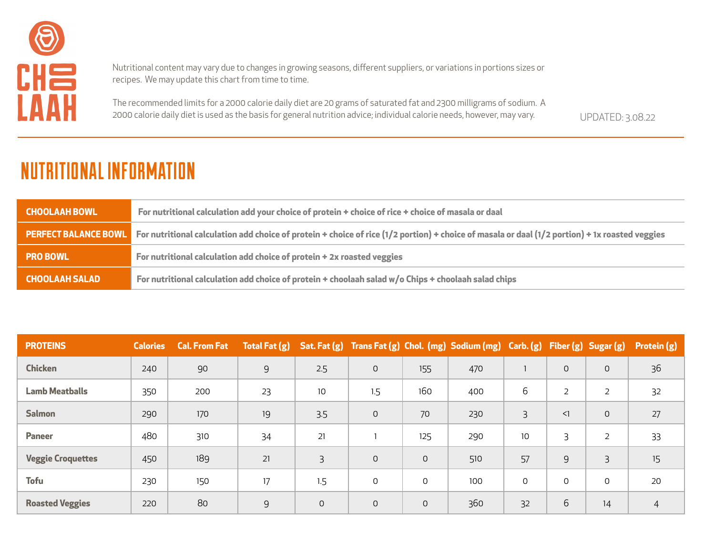

Nutritional content may vary due to changes in growing seasons, different suppliers, or variations in portions sizes or recipes. We may update this chart from time to time.

The recommended limits for a 2000 calorie daily diet are 20 grams of saturated fat and 2300 milligrams of sodium. A 2000 calorie daily diet is used as the basis for general nutrition advice; individual calorie needs, however, may vary. UPDATED: 3.08.22

| <b>CHOOLAAH BOWL</b>        | For nutritional calculation add your choice of protein + choice of rice + choice of masala or daal                                                 |
|-----------------------------|----------------------------------------------------------------------------------------------------------------------------------------------------|
| <b>PERFECT BALANCE BOWL</b> | For nutritional calculation add choice of protein + choice of rice $(1/2$ portion) + choice of masala or daal $(1/2$ portion) + 1x roasted veggies |
| <b>PRO BOWL</b>             | For nutritional calculation add choice of protein + 2x roasted veggies                                                                             |
| <b>CHOOLAAH SALAD</b>       | For nutritional calculation add choice of protein $+$ choolaah salad w/o Chips $+$ choolaah salad chips                                            |

| <b>PROTEINS</b>          | <b>Calories</b> | <b>Cal. From Fat</b> | <b>Total Fat (g)</b> |              |              |                     | Sat. Fat (g) Trans Fat (g) Chol. (mg) Sodium (mg) Carb. (g) |          |                | Fiber (g) Sugar (g) | Protein (g)    |
|--------------------------|-----------------|----------------------|----------------------|--------------|--------------|---------------------|-------------------------------------------------------------|----------|----------------|---------------------|----------------|
| <b>Chicken</b>           | 240             | 90                   | 9                    | 2.5          | $\mathsf{O}$ | 155                 | 470                                                         |          | $\mathsf{O}$   | $\mathsf{O}$        | 36             |
| <b>Lamb Meatballs</b>    | 350             | 200                  | 23                   | 10           | 1.5          | 160                 | 400                                                         | 6        | $\overline{2}$ | $\overline{2}$      | 32             |
| <b>Salmon</b>            | 290             | 170                  | 19                   | 3.5          | $\mathsf{O}$ | 70                  | 230                                                         | Β        | $\leq$         | $\mathsf{O}$        | 27             |
| <b>Paneer</b>            | 480             | 310                  | 34                   | 21           |              | 125                 | 290                                                         | 10       | 3              | 2                   | 33             |
| <b>Veggie Croquettes</b> | 450             | 189                  | 21                   | 3            | $\mathbf 0$  | $\Omega$            | 510                                                         | 57       | 9              | 3                   | 15             |
| <b>Tofu</b>              | 230             | 150                  | 17                   | 1.5          | $\mathsf{O}$ | 0                   | 100                                                         | $\Omega$ | 0              | 0                   | 20             |
| <b>Roasted Veggies</b>   | 220             | 80                   | 9                    | $\mathsf{O}$ | $\mathsf{O}$ | $\mathsf{O}\xspace$ | 360                                                         | 32       | 6              | 14                  | $\overline{4}$ |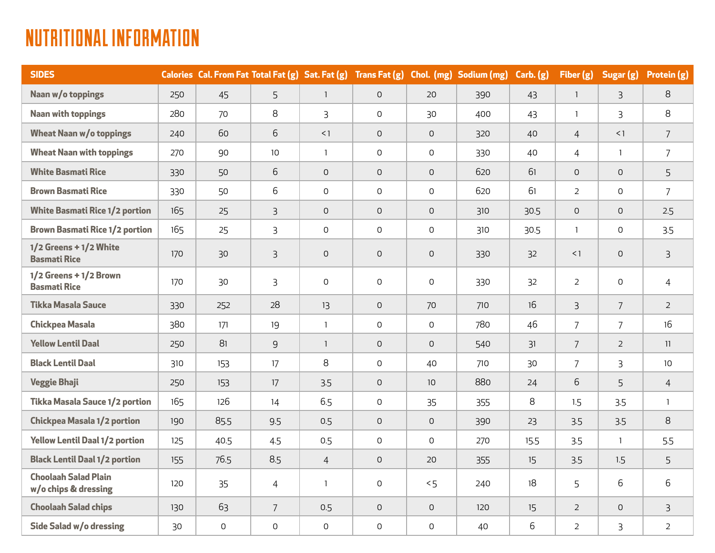| <b>SIDES</b>                                        |     | Calories Cal. From Fat Total Fat (g) Sat. Fat (g) Trans Fat (g) Chol. (mg) Sodium (mg) |                 |                |                     |                 |     | Carb. (g) | Fiber (g)      | Sugar (g)      | Protein (g)     |
|-----------------------------------------------------|-----|----------------------------------------------------------------------------------------|-----------------|----------------|---------------------|-----------------|-----|-----------|----------------|----------------|-----------------|
| Naan w/o toppings                                   | 250 | 45                                                                                     | 5               | $\mathbf{1}$   | $\mathsf{O}$        | 20              | 390 | 43        | $\mathbf{1}$   | 3              | 8               |
| <b>Naan with toppings</b>                           | 280 | 70                                                                                     | 8               | 3              | $\mathsf O$         | 30              | 400 | 43        | $\mathbf{1}$   | 3              | 8               |
| <b>Wheat Naan w/o toppings</b>                      | 240 | 60                                                                                     | 6               | <1             | $\mathsf{O}$        | $\mathsf{O}$    | 320 | 40        | $\overline{4}$ | <1             | $7\overline{ }$ |
| <b>Wheat Naan with toppings</b>                     | 270 | 90                                                                                     | 10 <sup>°</sup> | $\mathbf{1}$   | $\mathsf O$         | $\mathsf O$     | 330 | 40        | $\overline{4}$ | $\mathbf{1}$   | $\overline{7}$  |
| <b>White Basmati Rice</b>                           | 330 | 50                                                                                     | 6               | $\Omega$       | $\Omega$            | $\Omega$        | 620 | 61        | $\Omega$       | $\Omega$       | 5               |
| <b>Brown Basmati Rice</b>                           | 330 | 50                                                                                     | 6               | $\mathsf{O}$   | $\mathsf{O}$        | $\mathsf{O}$    | 620 | 61        | $\overline{2}$ | $\mathsf{O}$   | $\overline{7}$  |
| <b>White Basmati Rice 1/2 portion</b>               | 165 | 25                                                                                     | $\overline{3}$  | $\mathsf{O}$   | $\mathsf{O}$        | $\mathsf{O}$    | 310 | 30.5      | $\mathsf{O}$   | $\mathsf{O}$   | 2.5             |
| <b>Brown Basmati Rice 1/2 portion</b>               | 165 | 25                                                                                     | $\mathsf{B}$    | $\mathsf{O}$   | $\mathsf{O}$        | $\mathsf{O}$    | 310 | 30.5      | $\mathbf{1}$   | $\mathsf O$    | 3.5             |
| 1/2 Greens + 1/2 White<br><b>Basmati Rice</b>       | 170 | 30                                                                                     | 3               | $\mathsf O$    | $\mathsf O$         | $\mathsf O$     | 330 | 32        | $\leq$ 1       | $\mathsf O$    | $\mathsf{3}$    |
| $1/2$ Greens + $1/2$ Brown<br><b>Basmati Rice</b>   | 170 | 30                                                                                     | 3               | $\mathsf{O}$   | $\mathsf{O}$        | $\mathsf O$     | 330 | 32        | $\overline{2}$ | $\mathsf O$    | $\overline{4}$  |
| <b>Tikka Masala Sauce</b>                           | 330 | 252                                                                                    | 28              | 13             | $\mathsf{O}$        | 70              | 710 | 16        | $\overline{3}$ | $\overline{7}$ | $\overline{2}$  |
| <b>Chickpea Masala</b>                              | 380 | 171                                                                                    | 19              | $\overline{1}$ | $\mathsf{O}$        | $\mathsf{O}$    | 780 | 46        | $\overline{7}$ | $\overline{7}$ | 16              |
| <b>Yellow Lentil Daal</b>                           | 250 | 81                                                                                     | 9               | $\mathbf{1}$   | $\mathbf 0$         | $\mathsf{O}$    | 540 | 31        | $\overline{7}$ | $\overline{2}$ | 11              |
| <b>Black Lentil Daal</b>                            | 310 | 153                                                                                    | 17              | 8              | 0                   | 40              | 710 | 30        | $\overline{7}$ | 3              | 10              |
| <b>Veggie Bhaji</b>                                 | 250 | 153                                                                                    | 17              | 3.5            | $\mathsf O$         | 10 <sup>°</sup> | 880 | 24        | 6              | 5              | $\overline{4}$  |
| <b>Tikka Masala Sauce 1/2 portion</b>               | 165 | 126                                                                                    | 14              | 6.5            | 0                   | 35              | 355 | 8         | 1.5            | 3.5            | $\mathbf{1}$    |
| <b>Chickpea Masala 1/2 portion</b>                  | 190 | 85.5                                                                                   | 9.5             | 0.5            | $\mathsf{O}$        | $\mathsf O$     | 390 | 23        | 3.5            | 3.5            | 8               |
| <b>Yellow Lentil Daal 1/2 portion</b>               | 125 | 40.5                                                                                   | 4.5             | 0.5            | $\Omega$            | $\Omega$        | 270 | 15.5      | 3.5            | $\mathbf{1}$   | 5.5             |
| <b>Black Lentil Daal 1/2 portion</b>                | 155 | 76.5                                                                                   | 8.5             | $\overline{4}$ | $\mathbf 0$         | 20              | 355 | 15        | 3.5            | 1.5            | 5               |
| <b>Choolaah Salad Plain</b><br>w/o chips & dressing | 120 | 35                                                                                     | $\overline{4}$  | $\mathbf{1}$   | $\mathsf{O}$        | 5<              | 240 | 18        | 5              | 6              | 6               |
| <b>Choolaah Salad chips</b>                         | 130 | 63                                                                                     | $\overline{7}$  | 0.5            | $\mathbf 0$         | $\mathsf{O}$    | 120 | 15        | $\overline{2}$ | $\mathsf{O}$   | $\mathsf{3}$    |
| Side Salad w/o dressing                             | 30  | $\mathsf{O}\xspace$                                                                    | 0               | $\mathsf O$    | $\mathsf{O}\xspace$ | $\mathsf O$     | 40  | 6         | $\overline{2}$ | 3              | $\overline{2}$  |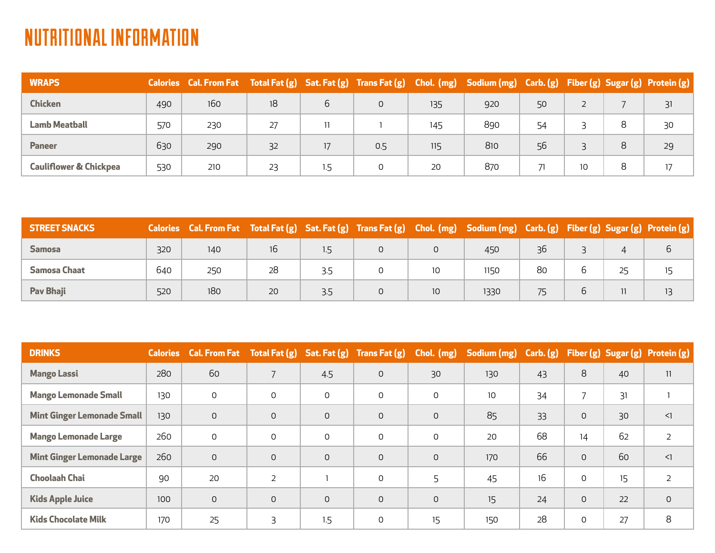| <b>WRAPS</b>                      |     | Calories Cal. From Fat Total Fat (g) Sat. Fat (g) Trans Fat (g) Chol. (mg) Sodium (mg) Carb. (g) Fiber (g) Sugar (g) Protein (g) |    |     |     |     |     |    |    |   |    |
|-----------------------------------|-----|----------------------------------------------------------------------------------------------------------------------------------|----|-----|-----|-----|-----|----|----|---|----|
| <b>Chicken</b>                    | 490 | 160                                                                                                                              | 18 | 6   | 0   | 135 | 920 | 50 | 2  |   | 31 |
| <b>Lamb Meatball</b>              | 570 | 230                                                                                                                              | 27 | 11  |     | 145 | 890 | 54 |    |   | 30 |
| <b>Paneer</b>                     | 630 | 290                                                                                                                              | 32 | 17  | 0.5 | 115 | 810 | 56 |    | 8 | 29 |
| <b>Cauliflower &amp; Chickpea</b> | 530 | 210                                                                                                                              | 23 | 1.5 | 0   | 20  | 870 |    | 10 |   | 17 |

| <b>STREET SNACKS</b> |     | Calories Cal. From Fat Total Fat (g) Sat. Fat (g) Trans Fat (g) Chol. (mg) Sodium (mg) Carb. (g) Fiber (g) Sugar (g) Protein (g) |    |               |                 |      |    |  |    |
|----------------------|-----|----------------------------------------------------------------------------------------------------------------------------------|----|---------------|-----------------|------|----|--|----|
| <b>Samosa</b>        | 320 | 140                                                                                                                              |    | $1.5^{\circ}$ |                 | 450  | 36 |  | ь  |
| Samosa Chaat         | 640 | 250                                                                                                                              | 28 | 3.5           | 10              | 1150 | 80 |  |    |
| <b>Pav Bhaji</b>     | 520 | 180                                                                                                                              | 20 | 3.5           | 10 <sup>°</sup> | 1330 | 75 |  | 13 |

| <b>DRINKS</b>                     |     | Calories Cal. From Fat Total Fat (g) Sat. Fat (g) Trans Fat (g) |                |          |              | Chol. (mg) | Sodium (mg) Carb. (g) |    |                |    | Fiber (g) Sugar (g) Protein (g) |
|-----------------------------------|-----|-----------------------------------------------------------------|----------------|----------|--------------|------------|-----------------------|----|----------------|----|---------------------------------|
| <b>Mango Lassi</b>                | 280 | 60                                                              |                | 4.5      | $\mathsf{O}$ | 30         | 130                   | 43 | 8              | 40 | 11                              |
| <b>Mango Lemonade Small</b>       | 130 | $\mathbf 0$                                                     | 0              | 0        | 0            | 0          | 10                    | 34 | $\overline{7}$ | 31 |                                 |
| <b>Mint Ginger Lemonade Small</b> | 130 | $\Omega$                                                        | 0              | $\Omega$ | $\Omega$     | 0          | 85                    | 33 | $\mathsf O$    | 30 | $\leq$                          |
| <b>Mango Lemonade Large</b>       | 260 | $\mathbf 0$                                                     | $\Omega$       | 0        | 0            | 0          | 20                    | 68 | 14             | 62 | $\overline{2}$                  |
| <b>Mint Ginger Lemonade Large</b> | 260 | $\mathbf 0$                                                     | $\Omega$       | $\Omega$ | $\Omega$     | 0          | 170                   | 66 | $\mathsf{O}$   | 60 | $\leq$ 1                        |
| <b>Choolaah Chai</b>              | 90  | 20                                                              | $\overline{2}$ |          | 0            |            | 45                    | 16 | 0              | 15 | 2                               |
| <b>Kids Apple Juice</b>           | 100 | $\overline{0}$                                                  | $\Omega$       | $\Omega$ | $\Omega$     | 0          | 15                    | 24 | $\mathsf{O}$   | 22 | $\mathsf{O}$                    |
| <b>Kids Chocolate Milk</b>        | 170 | 25                                                              | 3              | 1.5      | 0            | 15         | 150                   | 28 | $\mathbf 0$    | 27 | 8                               |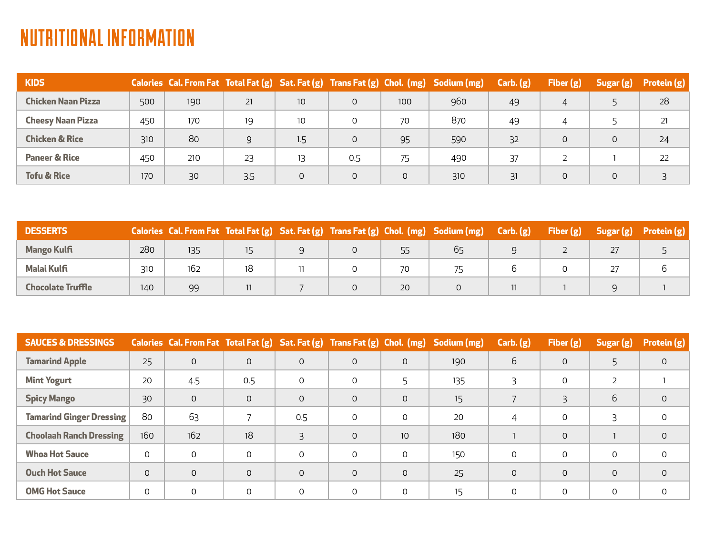| <b>KIDS</b>               |     |     |     |                 |     |     | Calories Cal. From Fat Total Fat (g) Sat. Fat (g) Trans Fat (g) Chol. (mg) Sodium (mg) | Carb. (g) | Fiber $(g)$ | Sugar(g) | Protein $(g)$ |
|---------------------------|-----|-----|-----|-----------------|-----|-----|----------------------------------------------------------------------------------------|-----------|-------------|----------|---------------|
| <b>Chicken Naan Pizza</b> | 500 | 190 | 21  | 10 <sup>°</sup> | 0   | 100 | 960                                                                                    | 49        | 4           |          | 28            |
| <b>Cheesy Naan Pizza</b>  | 450 | 170 | 19  | 10              |     | 70  | 870                                                                                    | 49        |             |          | 21            |
| <b>Chicken &amp; Rice</b> | 310 | 80  | 9   | 1.5             | 0   | 95  | 590                                                                                    | 32        |             | $\Omega$ | 24            |
| <b>Paneer &amp; Rice</b>  | 450 | 210 | 23  | 13              | 0.5 | 75  | 490                                                                                    | 37        |             |          | 22            |
| <b>Tofu &amp; Rice</b>    | 170 | 30  | 3.5 | $\mathsf{O}$    | 0   | 0   | 310                                                                                    | 31        | $\circ$     | 0        |               |

| <b>DESSERTS</b>    |     |     |  |    | Calories Cal. From Fat Total Fat (g) Sat. Fat (g) Trans Fat (g) Chol. (mg) Sodium (mg) | Carb. (g) | Fiber $(g)$ | Sugar $(g)$ Protein $(g)$ |
|--------------------|-----|-----|--|----|----------------------------------------------------------------------------------------|-----------|-------------|---------------------------|
| <b>Mango Kulfi</b> | 280 | 135 |  |    |                                                                                        |           |             |                           |
| <b>Malai Kulfi</b> | 310 | 162 |  |    |                                                                                        |           |             |                           |
| Chocolate Truffle  | 140 | 99  |  | 20 |                                                                                        |           |             |                           |

| <b>SAUCES &amp; DRESSINGS</b>   |              | Calories Cal. From Fat Total Fat (g) Sat. Fat (g) Trans Fat (g) Chol. (mg) |              |                |              |              | Sodium (mg) | Carb. (g)    | Fiber (g) | Sugar (g) | Protein (g)  |
|---------------------------------|--------------|----------------------------------------------------------------------------|--------------|----------------|--------------|--------------|-------------|--------------|-----------|-----------|--------------|
| <b>Tamarind Apple</b>           | 25           | $\mathsf{O}$                                                               | $\mathsf{O}$ | $\mathsf{O}$   | $\mathsf{O}$ | $\mathsf{O}$ | 190         | 6            | 0         | 5         | 0            |
| <b>Mint Yogurt</b>              | 20           | 4.5                                                                        | 0.5          | $\Omega$       | $\Omega$     |              | 135         |              | 0         | 2         |              |
| <b>Spicy Mango</b>              | 30           | $\mathsf{O}$                                                               | $\mathsf{O}$ | $\mathsf{O}$   | $\mathsf{O}$ | $\Omega$     | 15          |              | 3         | 6         | $\mathsf{O}$ |
| <b>Tamarind Ginger Dressing</b> | 80           | 63                                                                         |              | 0.5            | $\mathsf{O}$ | $\Omega$     | 20          |              | 0         | Β         | 0            |
| <b>Choolaah Ranch Dressing</b>  | 160          | 162                                                                        | 18           | $\overline{3}$ | $\mathsf{O}$ | 10           | 180         |              | $\Omega$  |           | $\mathsf{O}$ |
| <b>Whoa Hot Sauce</b>           | 0            | $\Omega$                                                                   | $\Omega$     | $\Omega$       | $\Omega$     | 0            | 150         | $\Omega$     | 0         | 0         | 0            |
| <b>Ouch Hot Sauce</b>           | $\mathsf{O}$ | $\mathsf{O}$                                                               | $\mathsf{O}$ | $\mathsf{O}$   | $\mathsf{O}$ | $\Omega$     | 25          | $\mathsf{O}$ | $\Omega$  | $\Omega$  | $\mathbf 0$  |
| <b>OMG Hot Sauce</b>            | 0            | 0                                                                          | 0            | 0              | 0            | 0            | 15          | 0            | 0         | 0         | 0            |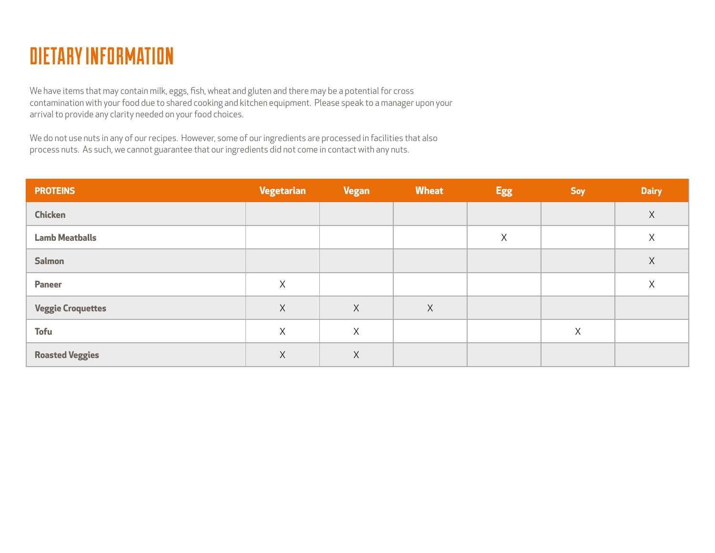

We have items that may contain milk, eggs, fish, wheat and gluten and there may be a potential for cross contamination with your food due to shared cooking and kitchen equipment. Please speak to a manager upon your arrival to provide any clarity needed on your food choices.

We do not use nuts in any of our recipes. However, some of our ingredients are processed in facilities that also process nuts. As such, we cannot guarantee that our ingredients did not come in contact with any nuts.

| <b>PROTEINS</b>          | <b>Vegetarian</b> | <b>Vegan</b> | <b>Wheat</b> | <b>Egg</b> | <b>Soy</b> | <b>Dairy</b> |
|--------------------------|-------------------|--------------|--------------|------------|------------|--------------|
| <b>Chicken</b>           |                   |              |              |            |            | $\mathsf X$  |
| <b>Lamb Meatballs</b>    |                   |              |              | $\times$   |            | $\mathsf X$  |
| <b>Salmon</b>            |                   |              |              |            |            | $\chi$       |
| <b>Paneer</b>            | X                 |              |              |            |            | $\chi$       |
| <b>Veggie Croquettes</b> | $\times$          | X            | $\mathsf{X}$ |            |            |              |
| <b>Tofu</b>              | $\times$          | X            |              |            | X          |              |
| <b>Roasted Veggies</b>   | X                 | Χ            |              |            |            |              |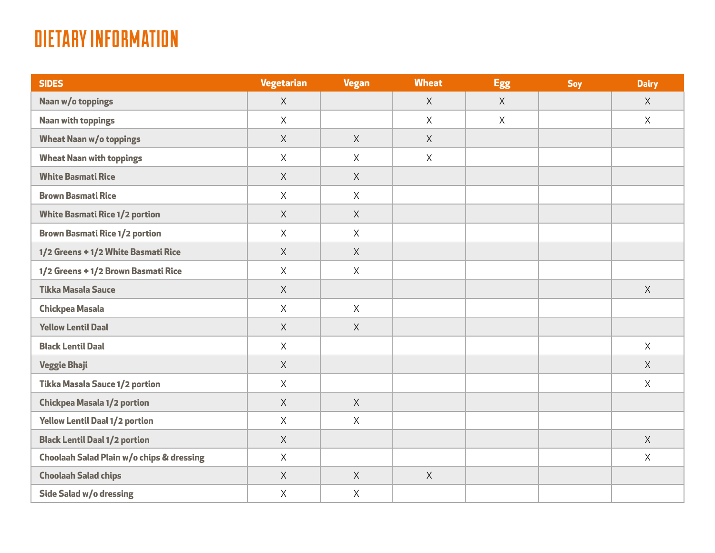## DIETARY INFORMATION

| <b>SIDES</b>                              | Vegetarian   | <b>Vegan</b> | <b>Wheat</b> | <b>Egg</b> | <b>Soy</b> | <b>Dairy</b> |
|-------------------------------------------|--------------|--------------|--------------|------------|------------|--------------|
| Naan w/o toppings                         | $\mathsf{X}$ |              | X            | X          |            | X            |
| <b>Naan with toppings</b>                 | X            |              | X            | X          |            | X            |
| <b>Wheat Naan w/o toppings</b>            | X            | X            | X            |            |            |              |
| <b>Wheat Naan with toppings</b>           | $\times$     | X            | $\mathsf{X}$ |            |            |              |
| <b>White Basmati Rice</b>                 | X            | X            |              |            |            |              |
| <b>Brown Basmati Rice</b>                 | X            | X            |              |            |            |              |
| <b>White Basmati Rice 1/2 portion</b>     | X            | X            |              |            |            |              |
| <b>Brown Basmati Rice 1/2 portion</b>     | $\mathsf{X}$ | X            |              |            |            |              |
| 1/2 Greens + 1/2 White Basmati Rice       | X            | X            |              |            |            |              |
| 1/2 Greens + 1/2 Brown Basmati Rice       | X            | X            |              |            |            |              |
| <b>Tikka Masala Sauce</b>                 | X            |              |              |            |            | X            |
| <b>Chickpea Masala</b>                    | $\mathsf{X}$ | X            |              |            |            |              |
| <b>Yellow Lentil Daal</b>                 | X            | X            |              |            |            |              |
| <b>Black Lentil Daal</b>                  | X            |              |              |            |            | X            |
| <b>Veggie Bhaji</b>                       | X            |              |              |            |            | X            |
| Tikka Masala Sauce 1/2 portion            | $\mathsf{X}$ |              |              |            |            | X            |
| <b>Chickpea Masala 1/2 portion</b>        | X            | X            |              |            |            |              |
| <b>Yellow Lentil Daal 1/2 portion</b>     | X            | X            |              |            |            |              |
| <b>Black Lentil Daal 1/2 portion</b>      | X            |              |              |            |            | X            |
| Choolaah Salad Plain w/o chips & dressing | $\mathsf{X}$ |              |              |            |            | $\mathsf{X}$ |
| <b>Choolaah Salad chips</b>               | X            | X            | X            |            |            |              |
| Side Salad w/o dressing                   | $\mathsf X$  | $\mathsf{X}$ |              |            |            |              |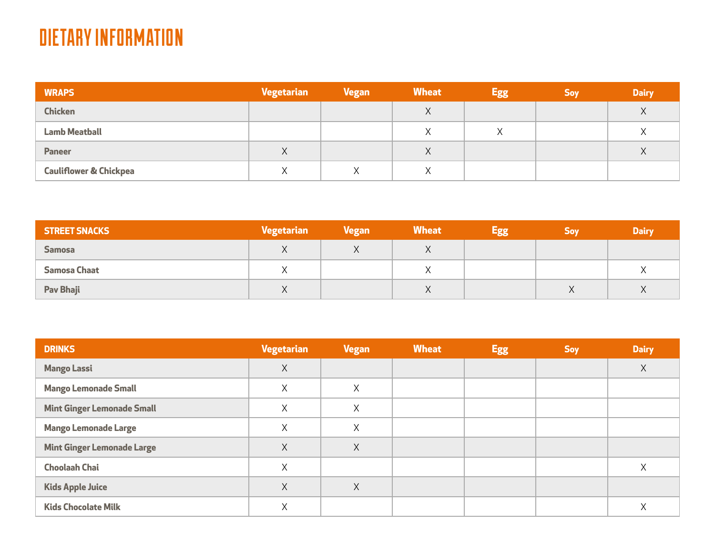### DIETARY INFORMATION

| <b>WRAPS</b>                      | Vegetarian | <b>Vegan</b> | <b>Wheat</b>      | <b>Egg</b>  | <b>Soy</b> | <b>Dairy</b> |
|-----------------------------------|------------|--------------|-------------------|-------------|------------|--------------|
| <b>Chicken</b>                    |            |              | $\checkmark$<br>∧ |             |            | X            |
| <b>Lamb Meatball</b>              |            |              |                   | $\vee$<br>⌒ |            | Χ            |
| <b>Paneer</b>                     | X          |              | Λ                 |             |            | X            |
| <b>Cauliflower &amp; Chickpea</b> | Χ          |              | ∧                 |             |            |              |

| <b>STREET SNACKS</b> | Vegetarian             | <b>Vegan</b> | <b>Wheat</b> | <b>Egg</b> | <b>Soy</b> | <b>Dairy</b> |
|----------------------|------------------------|--------------|--------------|------------|------------|--------------|
| <b>Samosa</b>        | $\sqrt{}$<br>$\lambda$ |              |              |            |            |              |
| <b>Samosa Chaat</b>  |                        |              |              |            |            |              |
| Pav Bhaji            | $\lambda$<br>$\lambda$ |              | ୵៶           |            | v<br>Λ     | $\vee$<br>⋏  |

| <b>DRINKS</b>                     | <b>Vegetarian</b> | <b>Vegan</b> | <b>Wheat</b> | <b>Egg</b> | <b>Soy</b> | <b>Dairy</b> |
|-----------------------------------|-------------------|--------------|--------------|------------|------------|--------------|
| <b>Mango Lassi</b>                | X                 |              |              |            |            | X            |
| <b>Mango Lemonade Small</b>       | X                 | Χ            |              |            |            |              |
| <b>Mint Ginger Lemonade Small</b> | X                 | Χ            |              |            |            |              |
| <b>Mango Lemonade Large</b>       | X                 | Χ            |              |            |            |              |
| <b>Mint Ginger Lemonade Large</b> | X                 | Χ            |              |            |            |              |
| <b>Choolaah Chai</b>              | X                 |              |              |            |            | X            |
| <b>Kids Apple Juice</b>           | X                 | Χ            |              |            |            |              |
| <b>Kids Chocolate Milk</b>        | X                 |              |              |            |            | Χ            |